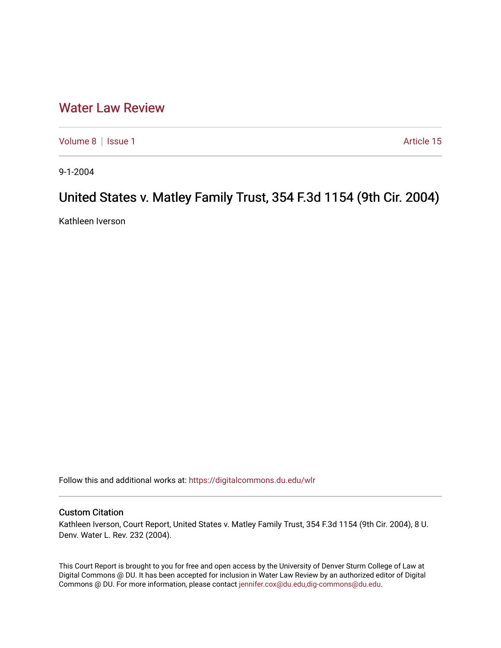## [Water Law Review](https://digitalcommons.du.edu/wlr)

[Volume 8](https://digitalcommons.du.edu/wlr/vol8) | [Issue 1](https://digitalcommons.du.edu/wlr/vol8/iss1) Article 15

9-1-2004

# United States v. Matley Family Trust, 354 F.3d 1154 (9th Cir. 2004)

Kathleen Iverson

Follow this and additional works at: [https://digitalcommons.du.edu/wlr](https://digitalcommons.du.edu/wlr?utm_source=digitalcommons.du.edu%2Fwlr%2Fvol8%2Fiss1%2F15&utm_medium=PDF&utm_campaign=PDFCoverPages) 

### Custom Citation

Kathleen Iverson, Court Report, United States v. Matley Family Trust, 354 F.3d 1154 (9th Cir. 2004), 8 U. Denv. Water L. Rev. 232 (2004).

This Court Report is brought to you for free and open access by the University of Denver Sturm College of Law at Digital Commons @ DU. It has been accepted for inclusion in Water Law Review by an authorized editor of Digital Commons @ DU. For more information, please contact [jennifer.cox@du.edu,dig-commons@du.edu.](mailto:jennifer.cox@du.edu,dig-commons@du.edu)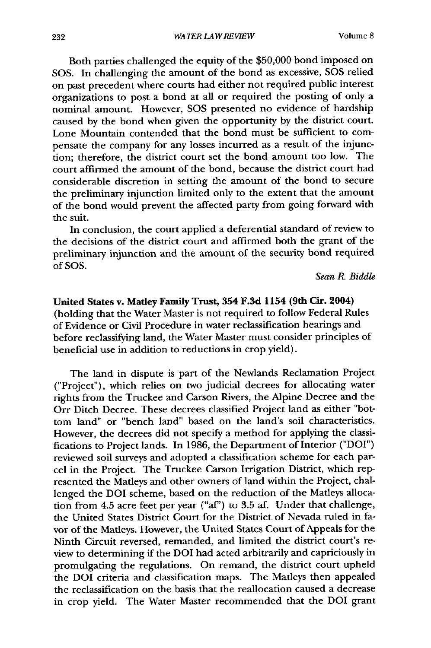Both parties challenged the equity of the \$50,000 bond imposed on SOS. In challenging the amount of the bond as excessive, SOS relied on past precedent where courts had either not required public interest organizations to post a bond at all or required the posting of only a nominal amount. However, SOS presented no evidence of hardship caused by the bond when given the opportunity by the district court. Lone Mountain contended that the bond must be sufficient to compensate the company for any losses incurred as a result of the injunction; therefore, the district court set the bond amount too low. The court affirmed the amount of the bond, because the district court had considerable discretion in setting the amount of the bond to secure the preliminary injunction limited only to the extent that the amount of the bond would prevent the affected party from going forward with the suit.

In conclusion, the court applied a deferential standard of review to the decisions of the district court and affirmed both the grant of the preliminary injunction and the amount of the security bond required of SOS.

#### *Sean R Biddle*

### United States v. **Matley Family Trust, 354 F.3d 1154 (9th Cir. 2004)**

(holding that the Water Master is not required to follow Federal Rules of Evidence or Civil Procedure in water reclassification hearings and before reclassifying land, the Water Master must consider principles of beneficial use in addition to reductions in crop yield).

The land in dispute is part of the Newlands Reclamation Project ("Project"), which relies on two judicial decrees for allocating water rights from the Truckee and Carson Rivers, the Alpine Decree and the Orr Ditch Decree. These decrees classified Project land as either "bottom land" or "bench land" based on the land's soil characteristics. However, the decrees did not specify a method for applying the classifications to Project lands. In 1986, the Department of Interior ("DOI") reviewed soil surveys and adopted a classification scheme for each parcel in the Project. The Truckee Carson Irrigation District, which represented the Matleys and other owners of land within the Project, challenged the DOI scheme, based on the reduction of the Matleys allocation from 4.5 acre feet per year ("af') to 3.5 af. Under that challenge, the United States District Court for the District of Nevada ruled in favor of the Matleys. However, the United States Court of Appeals for the Ninth Circuit reversed, remanded, and limited the district court's review to determining if the **DOI** had acted arbitrarily and capriciously in promulgating the regulations. On remand, the district court upheld the **DOI** criteria and classification maps. The Matleys then appealed the reclassification on the basis that the reallocation caused a decrease in crop yield. The Water Master recommended that the DOI grant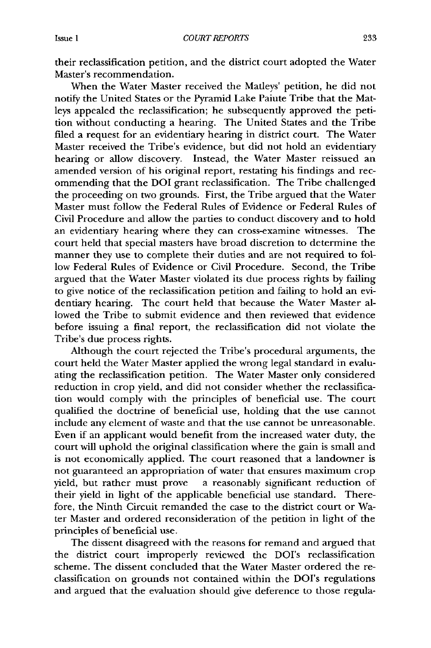their reclassification petition, and the district court adopted the Water Master's recommendation.

When the Water Master received the Matleys' petition, he did not notify the United States or the Pyramid Lake Paiute Tribe that the Matleys appealed the reclassification; he subsequently approved the petition without conducting a hearing. The United States and the Tribe filed a request for an evidentiary hearing in district court. The Water Master received the Tribe's evidence, but did not hold an evidentiary hearing or allow discovery. Instead, the Water Master reissued an amended version of his original report, restating his findings and recommending that the DOI grant reclassification. The Tribe challenged the proceeding on two grounds. First, the Tribe argued that the Water Master must follow the Federal Rules of Evidence or Federal Rules of Civil Procedure and allow the parties to conduct discovery and to hold an evidentiary hearing where they can cross-examine witnesses. The court held that special masters have broad discretion to determine the manner they use to complete their duties and are not required to follow Federal Rules of Evidence or Civil Procedure. Second, the Tribe argued that the Water Master violated its due process rights by failing to give notice of the reclassification petition and failing to hold an evidentiary hearing. The court held that because the Water Master allowed the Tribe to submit evidence and then reviewed that evidence before issuing a final report, the reclassification did not violate the Tribe's due process rights.

Although the court rejected the Tribe's procedural arguments, the court held the Water Master applied the wrong legal standard in evaluating the reclassification petition. The Water Master only considered reduction in crop yield, and did not consider whether the reclassification would comply with the principles of beneficial use. The court qualified the doctrine of beneficial use, holding that the use cannot include any element of waste and that the use cannot be unreasonable. Even if an applicant would benefit from the increased water duty, the court will uphold the original classification where the gain is small and is not economically applied. The court reasoned that a landowner is not guaranteed an appropriation of water that ensures maximum crop yield, but rather must prove a reasonably significant reduction of their yield in light of the applicable beneficial use standard. Therefore, the Ninth Circuit remanded the case to the district court or Water Master and ordered reconsideration of the petition in light of the principles of beneficial use.

The dissent disagreed with the reasons for remand and argued that the district court improperly reviewed the DOI's reclassification scheme. The dissent concluded that the Water Master ordered the reclassification on grounds not contained within the DOI's regulations and argued that the evaluation should give deference to those regula